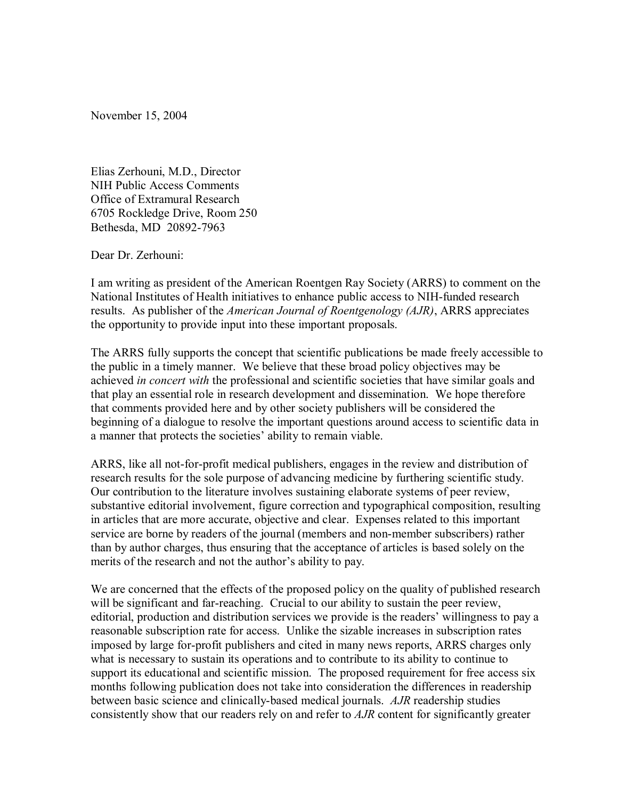November 15, 2004

Elias Zerhouni, M.D., Director NIH Public Access Comments Office of Extramural Research 6705 Rockledge Drive, Room 250 Bethesda, MD 20892-7963

Dear Dr. Zerhouni:

I am writing as president of the American Roentgen Ray Society (ARRS) to comment on the National Institutes of Health initiatives to enhance public access to NIH-funded research results. As publisher of the *American Journal of Roentgenology (AJR)*, ARRS appreciates the opportunity to provide input into these important proposals.

The ARRS fully supports the concept that scientific publications be made freely accessible to the public in a timely manner. We believe that these broad policy objectives may be achieved *in concert with* the professional and scientific societies that have similar goals and that play an essential role in research development and dissemination. We hope therefore that comments provided here and by other society publishers will be considered the beginning of a dialogue to resolve the important questions around access to scientific data in a manner that protects the societies' ability to remain viable.

ARRS, like all not-for-profit medical publishers, engages in the review and distribution of research results for the sole purpose of advancing medicine by furthering scientific study. Our contribution to the literature involves sustaining elaborate systems of peer review, substantive editorial involvement, figure correction and typographical composition, resulting in articles that are more accurate, objective and clear. Expenses related to this important service are borne by readers of the journal (members and non-member subscribers) rather than by author charges, thus ensuring that the acceptance of articles is based solely on the merits of the research and not the author's ability to pay.

We are concerned that the effects of the proposed policy on the quality of published research will be significant and far-reaching. Crucial to our ability to sustain the peer review, editorial, production and distribution services we provide is the readers' willingness to pay a reasonable subscription rate for access. Unlike the sizable increases in subscription rates imposed by large for-profit publishers and cited in many news reports, ARRS charges only what is necessary to sustain its operations and to contribute to its ability to continue to support its educational and scientific mission. The proposed requirement for free access six months following publication does not take into consideration the differences in readership between basic science and clinically-based medical journals. *AJR* readership studies consistently show that our readers rely on and refer to *AJR* content for significantly greater